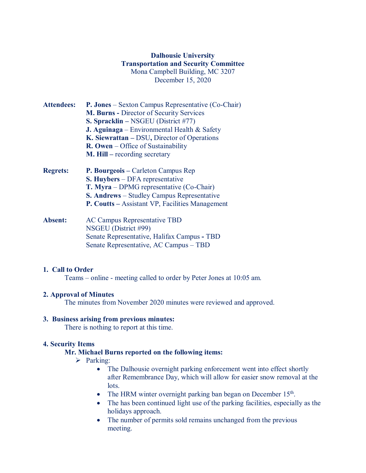# **Dalhousie University Transportation and Security Committee** Mona Campbell Building, MC 3207 December 15, 2020

- **Attendees: P. Jones** Sexton Campus Representative (Co-Chair) **M. Burns -** Director of Security Services **S. Spracklin –** NSGEU (District #77) **J. Aguinaga** – Environmental Health & Safety **K. Siewrattan –** DSU**,** Director of Operations **R. Owen** – Office of Sustainability **M. Hill –** recording secretary
- **Regrets: P. Bourgeois –** Carleton Campus Rep **S. Huybers** – DFA representative **T. Myra** – DPMG representative (Co-Chair) **S. Andrews** – Studley Campus Representative **P. Coutts –** Assistant VP, Facilities Management
- **Absent:** AC Campus Representative TBD NSGEU (District #99) Senate Representative, Halifax Campus **-** TBD Senate Representative, AC Campus – TBD

## **1. Call to Order**

Teams – online - meeting called to order by Peter Jones at 10:05 am.

## **2. Approval of Minutes**

The minutes from November 2020 minutes were reviewed and approved.

#### **3. Business arising from previous minutes:**

There is nothing to report at this time.

## **4. Security Items**

#### **Mr. Michael Burns reported on the following items:**

- $\triangleright$  Parking:
	- The Dalhousie overnight parking enforcement went into effect shortly after Remembrance Day, which will allow for easier snow removal at the lots.
	- The HRM winter overnight parking ban began on December 15<sup>th</sup>.
	- The has been continued light use of the parking facilities, especially as the holidays approach.
	- The number of permits sold remains unchanged from the previous meeting.